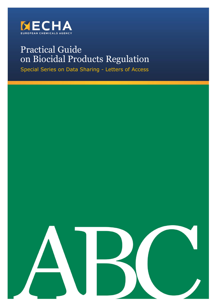

# Practical Guide on Biocidal Products Regulation

Special Series on Data Sharing - Letters of Access

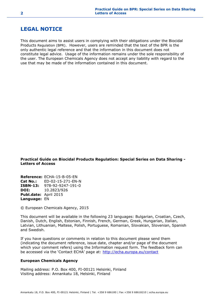# <span id="page-1-0"></span>**LEGAL NOTICE**

This document aims to assist users in complying with their obligations under the Biocidal Products Regulation (BPR). However, users are reminded that the text of the BPR is the only authentic legal reference and that the information in this document does not constitute legal advice. Usage of the information remains under the sole responsibility of the user. The European Chemicals Agency does not accept any liability with regard to the use that may be made of the information contained in this document.

**Practical Guide on Biocidal Products Regulation: Special Series on Data Sharing - Letters of Access**

**Reference:** ECHA-15-B-05-EN **Cat No.:** ED-02-15-271-EN-N **ISBN-13:** 978-92-9247-191-0 **DOI:** 10.2823/926 **Publ.date:** April 2015 **Language:** EN

© European Chemicals Agency, 2015

This document will be available in the following 23 languages: Bulgarian, Croatian, Czech, Danish, Dutch, English, Estonian, Finnish, French, German, Greek, Hungarian, Italian, Latvian, Lithuanian, Maltese, Polish, Portuguese, Romanian, Slovakian, Slovenian, Spanish and Swedish.

If you have questions or comments in relation to this document please send them (indicating the document reference, issue date, chapter and/or page of the document which your comment refers) using the Information request form. The feedback form can be accessed via the 'Contact ECHA' page at: <http://echa.europa.eu/contact>

#### **European Chemicals Agency**

Mailing address: P.O. Box 400, FI-00121 Helsinki, Finland Visiting address: Annankatu 18, Helsinki, Finland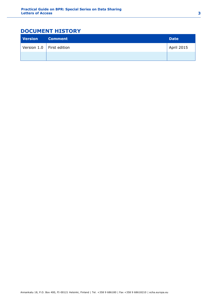# <span id="page-2-0"></span>**DOCUMENT HISTORY**

| <b>Version</b> | <b>Comment</b>                | <b>Date</b>       |
|----------------|-------------------------------|-------------------|
|                | Version $1.0$   First edition | <b>April 2015</b> |
|                |                               |                   |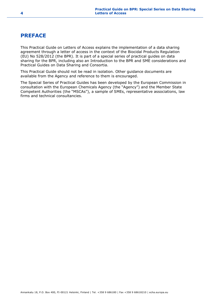# <span id="page-3-0"></span>**PREFACE**

This Practical Guide on Letters of Access explains the implementation of a data sharing agreement through a letter of access in the context of the Biocidal Products Regulation (EU) No 528/2012 (the BPR). It is part of a special series of practical guides on data sharing for the BPR, including also an Introduction to the BPR and SME considerations and Practical Guides on Data Sharing and Consortia.

This Practical Guide should not be read in isolation. Other guidance documents are available from the Agency and reference to them is encouraged.

The Special Series of Practical Guides has been developed by the European Commission in consultation with the European Chemicals Agency (the "Agency") and the Member State Competent Authorities (the "MSCAs"), a sample of SMEs, representative associations, law firms and technical consultancies.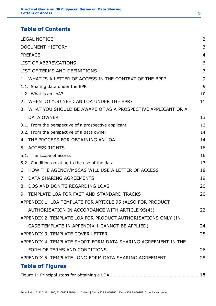# **Table of Contents**

| <b>LEGAL NOTICE</b>                                            | 2  |
|----------------------------------------------------------------|----|
| <b>DOCUMENT HISTORY</b>                                        | 3  |
| <b>PREFACE</b>                                                 | 4  |
| <b>LIST OF ABBREVIATIONS</b>                                   | 6  |
| LIST OF TERMS AND DEFINITIONS                                  | 7  |
| 1. WHAT IS A LETTER OF ACCESS IN THE CONTEXT OF THE BPR?       | 9  |
| 1.1. Sharing data under the BPR                                | 9  |
| 1.2. What is an LoA?                                           | 10 |
| 2. WHEN DO YOU NEED AN LOA UNDER THE BPR?                      | 11 |
| 3. WHAT YOU SHOULD BE AWARE OF AS A PROSPECTIVE APPLICANT OR A |    |
| <b>DATA OWNER</b>                                              | 13 |
| 3.1. From the perspective of a prospective applicant           | 13 |
| 3.2. From the perspective of a data owner                      | 14 |
| 4. THE PROCESS FOR OBTAINING AN LOA                            | 14 |
| 5. ACCESS RIGHTS                                               | 16 |
| 5.1. The scope of access                                       | 16 |
| 5.2. Conditions relating to the use of the data                | 17 |
| 6. HOW THE AGENCY/MSCAS WILL USE A LETTER OF ACCESS            | 18 |
| DATA SHARING AGREEMENTS<br>7.                                  | 19 |
| DOS AND DON'TS REGARDING LOAS<br>8.                            | 20 |
| 9. TEMPLATE LOA FOR FAST AND STANDARD TRACKS                   | 20 |
| APPENDIX 1. LOA TEMPLATE FOR ARTICLE 95 (ALSO FOR PRODUCT      |    |
| AUTHORISATION IN ACCORDANCE WITH ARTICLE 95(4))                | 22 |
| APPENDIX 2. TEMPLATE LOA FOR PRODUCT AUTHORISATIONS ONLY (IN   |    |
| CASE TEMPLATE IN APPENDIX 1 CANNOT BE APPLIED)                 | 24 |
| APPENDIX 3. TEMPLATE COVER LETTER                              | 25 |
| APPENDIX 4. TEMPLATE SHORT-FORM DATA SHARING AGREEMENT IN THE  |    |
| FORM OF TERMS AND CONDITIONS                                   | 26 |
| APPENDIX 5. TEMPLATE LONG-FORM DATA SHARING AGREEMENT          | 28 |
| <b>Table of Figures</b>                                        |    |
|                                                                |    |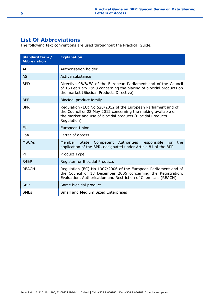# <span id="page-5-0"></span>**List Of Abbreviations**

The following text conventions are used throughout the Practical Guide.

| Standard term /<br><b>Abbreviation</b> | <b>Explanation</b>                                                                                                                                                                                          |
|----------------------------------------|-------------------------------------------------------------------------------------------------------------------------------------------------------------------------------------------------------------|
| AH                                     | Authorisation holder                                                                                                                                                                                        |
| <b>AS</b>                              | Active substance                                                                                                                                                                                            |
| <b>BPD</b>                             | Directive 98/8/EC of the European Parliament and of the Council<br>of 16 February 1998 concerning the placing of biocidal products on<br>the market (Biocidal Products Directive)                           |
| <b>BPF</b>                             | Biocidal product family                                                                                                                                                                                     |
| <b>BPR</b>                             | Regulation (EU) No 528/2012 of the European Parliament and of<br>the Council of 22 May 2012 concerning the making available on<br>the market and use of biocidal products (Biocidal Products<br>Regulation) |
| <b>EU</b>                              | European Union                                                                                                                                                                                              |
| LoA                                    | Letter of access                                                                                                                                                                                            |
| <b>MSCAs</b>                           | Member State Competent Authorities responsible for the<br>application of the BPR, designated under Article 81 of the BPR                                                                                    |
| PT                                     | Product Type                                                                                                                                                                                                |
| R <sub>4</sub> BP                      | Register for Biocidal Products                                                                                                                                                                              |
| <b>REACH</b>                           | Regulation (EC) No 1907/2006 of the European Parliament and of<br>the Council of 18 December 2006 concerning the Registration,<br>Evaluation, Authorisation and Restriction of Chemicals (REACH)            |
| <b>SBP</b>                             | Same biocidal product                                                                                                                                                                                       |
| <b>SMEs</b>                            | Small and Medium Sized Enterprises                                                                                                                                                                          |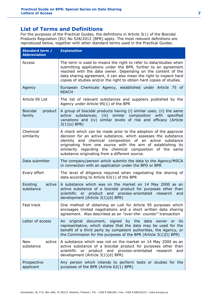# <span id="page-6-0"></span>**List of Terms and Definitions**

For the purposes of the Practical Guides, the definitions in Article 3(1) of the Biocidal Products Regulation (EU) No 528/2012 (BPR) apply. The most relevant definitions are reproduced below, together with other standard terms used in the Practical Guides.

| Standard term /<br><b>Abbreviation</b> | <b>Explanation</b>                                                                                                                                                                                                                                                                                                                                                           |
|----------------------------------------|------------------------------------------------------------------------------------------------------------------------------------------------------------------------------------------------------------------------------------------------------------------------------------------------------------------------------------------------------------------------------|
| Access                                 | The term is used to means the right to refer to data/studies when<br>submitting applications under the BPR, further to an agreement<br>reached with the data owner. Depending on the content of the<br>data sharing agreement, it can also mean the right to inspect hard<br>copies of studies and/or the right to obtain hard copies of studies.                            |
| Agency                                 | European Chemicals Agency, established under Article 75 of<br><b>REACH</b>                                                                                                                                                                                                                                                                                                   |
| Article 95 List                        | The list of relevant substances and suppliers published by the<br>Agency under Article 95(1) of the BPR                                                                                                                                                                                                                                                                      |
| <b>Biocidal</b><br>product<br>family   | A group of biocidal products having (i) similar uses; (ii) the same<br>active substances; (iii) similar composition with specified<br>variations and (iv) similar levels of risk and efficacy (Article<br>$3(1)(s)$ BPR)                                                                                                                                                     |
| Chemical<br>similarity                 | A check which can be made prior to the adoption of the approval<br>decision for an active substance, which assesses the substance<br>identity and chemical composition of an active substance<br>originating from one source with the aim of establishing its<br>similarity regarding the chemical composition of the same<br>substance originating from a different source. |
| Data submitter                         | The company/person which submits the data to the Agency/MSCA<br>in connection with an application under the BPD or BPR                                                                                                                                                                                                                                                       |
| Every effort                           | The level of diligence required when negotiating the sharing of<br>data according to Article 63(1) of the BPR                                                                                                                                                                                                                                                                |
| active<br>Existing<br>substance        | A substance which was on the market on 14 May 2000 as an<br>active substance of a biocidal product for purposes other than<br>scientific or product and process-orientated research<br>and<br>development (Article 3(1)(d) BPR)                                                                                                                                              |
| Fast track                             | One method of obtaining an LoA for Article 95 purposes which<br>envisages limited negotiations and a short written data sharing<br>agreement. Also described as an "over-the- counter" transaction                                                                                                                                                                           |
| Letter of access                       | An original document, signed by the data owner or its<br>representative, which states that the data may be used for the<br>benefit of a third party by competent authorities, the Agency, or<br>the Commission for the purposes of the BPR (Article $3(1)(t)$ BPR)                                                                                                           |
| New<br>active<br>substance             | A substance which was not on the market on 14 May 2000 as an<br>active substance of a biocidal product for purposes other than<br>scientific or product and process-orientated research<br>and<br>development (Article 3(1)(d) BPR)                                                                                                                                          |
| Prospective<br>applicant               | Any person which intends to perform tests or studies for the<br>purposes of the BPR (Article 62(1) BPR)                                                                                                                                                                                                                                                                      |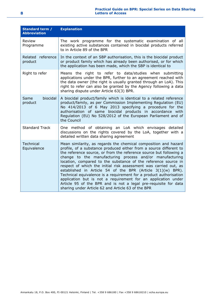| Standard term /<br><b>Abbreviation</b> | <b>Explanation</b>                                                                                                                                                                                                                                                                                                                                                                                                                                                                                                                                                                                                                                                                                                                             |
|----------------------------------------|------------------------------------------------------------------------------------------------------------------------------------------------------------------------------------------------------------------------------------------------------------------------------------------------------------------------------------------------------------------------------------------------------------------------------------------------------------------------------------------------------------------------------------------------------------------------------------------------------------------------------------------------------------------------------------------------------------------------------------------------|
| Review<br>Programme                    | The work programme for the systematic examination of all<br>existing active substances contained in biocidal products referred<br>to in Article 89 of the BPR                                                                                                                                                                                                                                                                                                                                                                                                                                                                                                                                                                                  |
| Related reference<br>product           | In the context of an SBP authorisation, this is the biocidal product<br>or product family which has already been authorised, or for which<br>the application has been made, which the SBP is identical to                                                                                                                                                                                                                                                                                                                                                                                                                                                                                                                                      |
| Right to refer                         | Means the right to refer to data/studies when submitting<br>applications under the BPR, further to an agreement reached with<br>the data owner (the right is usually granted through an LoA). This<br>right to refer can also be granted by the Agency following a data<br>sharing dispute under Article 63(3) BPR.                                                                                                                                                                                                                                                                                                                                                                                                                            |
| biocidal<br>Same<br>product            | A biocidal product/family which is identical to a related reference<br>product/family, as per Commission Implementing Regulation (EU)<br>No 414/2013 of 6 May 2013 specifying a procedure for the<br>authorisation of same biocidal products in accordance with<br>Regulation (EU) No 528/2012 of the European Parliament and of<br>the Council                                                                                                                                                                                                                                                                                                                                                                                                |
| <b>Standard Track</b>                  | One method of obtaining an LoA which envisages detailed<br>discussions on the rights covered by the LoA, together with a<br>detailed written data sharing agreement                                                                                                                                                                                                                                                                                                                                                                                                                                                                                                                                                                            |
| <b>Technical</b><br>Equivalence        | Mean similarity, as regards the chemical composition and hazard<br>profile, of a substance produced either from a source different to<br>the reference source, or from the reference source but following a<br>change to the manufacturing process and/or manufacturing<br>location, compared to the substance of the reference source in<br>respect of which the initial risk assessment was carried out, as<br>established in Article 54 of the BPR (Article $3(1)(w)$ BPR).<br>Technical equivalence is a requirement for a product authorisation<br>application but is not a requirement for an application under<br>Article 95 of the BPR and is not a legal pre-requisite for data<br>sharing under Article 62 and Article 63 of the BPR |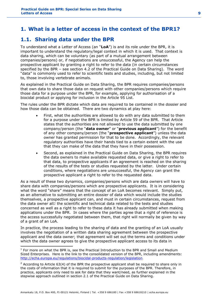# <span id="page-8-0"></span>**1. What is a letter of access in the context of the BPR1?**

# <span id="page-8-1"></span>**1.1. Sharing data under the BPR**

To understand what a Letter of Access (an "**LoA**") is and its role under the BPR, it is important to understand the regulatory/legal context in which it is used. That context is data sharing, which can be voluntary (as part of a mutual arrangement between companies/persons) or, if negotiations are unsuccessful, the Agency can help the prospective applicant by granting a right to refer to the data (in certain circumstances specified by the BPR – see section 4.2 of the Practical Guide on Data Sharing). The word "data" is commonly used to refer to scientific tests and studies, including, but not limited to, those involving vertebrate animals.

As explained in the Practical Guide on Data Sharing, the BPR requires companies/persons that own data to share those data on request with other companies/persons which require those data for a purpose under the BPR, for example, applying for authorisation of a biocidal product or applying for inclusion in the Article 95 List.

The rules under the BPR dictate which data are required to be contained in the dossier and how those data can be obtained. There are two dynamics at play here:

- First, what the authorities are allowed to do with any data submitted to them for a purpose under the BPR is limited by Article 59 of the BPR. That Article states that the authorities are not allowed to use the data submitted by one company/person (the "**data owner**" or "**previous applicant**") for the benefit of any other company/person (the "**prospective applicant**") unless the data owner has granted permission for that to be done. Accordingly, the relevant regulatory authorities have their hands tied to a certain extent with the use that they can make of the data that they have in their possession.
- Second, as explained in the Practical Guide on Data Sharing, the BPR requires the data owners to make available requested data, or give a right to refer to that data, to prospective applicants if an agreement is reached on the sharing of the results of the tests or studies requested by the latter. Under certain conditions, where negotiations are unsuccessful, the Agency can grant the prospective applicant a right to refer to the requested data.

As a result of these two dynamics, companies/persons which are data owners will have to share data with companies/persons which are prospective applicants. It is in considering what the word "share" means that the concept of an LoA becomes relevant. Simply put, as an alternative to submitting an entire dossier of data which would include the studies themselves, a prospective applicant can, and must in certain circumstances, request from the data owner all2 the scientific and technical data related to the tests and studies concerned as well as a right to refer to these data it has already submitted when making applications under the BPR. In cases where the parties agree that a right of reference is the access successfully negotiated between them, that right will normally be given by way of a grant of an LoA.

In practice, the process leading to the sharing of data and the granting of an LoA usually involves the negotiation of a written data sharing agreement between the prospective applicant and the data owner; that agreement will set out the terms and conditions under which the data owner agrees to give the prospective applicant access to its data in

-

<sup>&</sup>lt;sup>1</sup> For more on what the BPR is, see the Practical Introduction to the BPR and Small and Medium Sized Enterprises. Here is the link to the consolidated version of the BPR, including amendments: [http://echa.europa.eu/regulations/biocidal-products-regulation/legislation.](http://echa.europa.eu/regulations/biocidal-products-regulation/legislation)

<sup>&</sup>lt;sup>2</sup> According to Article 63(4) of the BPR the prospective applicant shall be required to share only in the costs of information that it is required to submit for the purposes of the BPR. Therefore, in practice, applicants only need to ask for data that they want/need, as further explained in the stepwise approach outlined in section 2.1 of the Practical Guide on Data Sharing.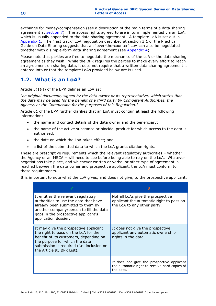exchange for money/compensation (see a description of the main terms of a data sharing agreement at  $section 7$ ). The access rights agreed to are in turn implemented via an LoA, which is usually appended to the data sharing agreement. A template LoA is set out in [Appendix 1.](https://activity.echa.europa.eu/sites/act-5/process-5-3/docs/01_Biocides/Practical%20Guides/ECHA%20documents/ECHA_PG_Letters_of_Access_v2.docx#_Hlk415227808) The "fast track" LoA negotiation described at section 3.1 of the Practical Guide on Data Sharing suggests that an "over-the-counter" LoA can also be negotiated together with a simple-form data sharing agreement (see [Appendix 4\)](https://activity.echa.europa.eu/sites/act-5/process-5-3/docs/01_Biocides/Practical%20Guides/ECHA%20documents/ECHA_PG_Letters_of_Access_v2.docx#_Hlk415227944)

Please note that parties are free to negotiate the mechanics of the LoA or the data sharing agreement as they wish. While the BPR requires the parties to make every effort to reach an agreement on sharing data, it does not require that a written data sharing agreement is entered into or that the template LoAs provided below are is used.

# <span id="page-9-0"></span>**1.2. What is an LoA?**

Article 3(1)(t) of the BPR defines an LoA as:

"*an original document, signed by the data owner or its representative, which states that the data may be used for the benefit of a third party by Competent Authorities, the Agency, or the Commission for the purposes of this Regulation*."

Article 61 of the BPR further clarifies that an LoA must contain at least the following information:

- the name and contact details of the data owner and the beneficiary;
- the name of the active substance or biocidal product for which access to the data is authorised;
- the date on which the LoA takes effect; and
- a list of the submitted data to which the LoA grants citation rights.

These are prescriptive requirements which the relevant regulatory authorities – whether the Agency or an MSCA – will need to see before being able to rely on the LoA. Whatever negotiations take place, and whichever written or verbal or other type of agreement is reached between the data owner and prospective applicant, the LoA must conform to these requirements.

It is important to note what the LoA gives, and does not give, to the prospective applicant:

| It entitles the relevant regulatory<br>authorities to use the data that have<br>already been submitted to them by<br>another company/person to fill the data<br>gaps in the prospective applicant's<br>application dossier.         | Not all LoAs give the prospective<br>applicant the automatic right to pass on<br>the LoA to any other party. |
|-------------------------------------------------------------------------------------------------------------------------------------------------------------------------------------------------------------------------------------|--------------------------------------------------------------------------------------------------------------|
| It may give the prospective applicant<br>the right to pass on the LoA for the<br>benefit of its customers, depending on<br>the purpose for which the data<br>submission is required (i.e. inclusion on<br>the Article 95 BPR List). | It does not give the prospective<br>applicant any automatic ownership<br>rights in the data.                 |
|                                                                                                                                                                                                                                     | It does not give the prospective applicant<br>the automatic right to receive hard copies of<br>the data.     |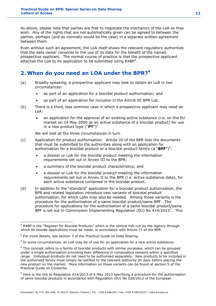As above, please note that parties are free to negotiate the mechanics of the LoA as they wish. Any of the rights that are not automatically given can be agreed to between the parties, perhaps (and as normally would be the case) in a separate written agreement between them.

Even without such an agreement, the LoA itself shows the relevant regulatory authorities that the data owner consents to the use of its data for the benefit of the named prospective applicant. The normal course of practice is that the prospective applicant attaches the LoA to its application to be submitted using  $R4BP^3$ .

# <span id="page-10-0"></span>**2. When do you need an LOA under the BPR?<sup>4</sup>**

- (a) Broadly speaking, a prospective applicant may look to obtain an LoA in two circumstances:
	- as part of an application for a biocidal product authorisation; and
	- as part of an application for inclusion in the Article 95 BPR List.
- (b) There is a third, less common case in which a prospective applicant may need an LoA:
	- an application for the approval of an existing active substance (i.e. on the EU market on 14 May 2000 as an active substance of a biocidal product) for use in a new product type ("**PT**") 5

We will look at the three circumstances in turn.

- (c) Application for product authorisation: Article 20 of the BPR lists the documents that must be submitted to the authorities along with an application for authorisation for a biocidal product or a biocidal product family (a "BPF")<sup>6</sup>:
	- a dossier or LoA for the biocidal product meeting the information requirements set out in Annex III to the BPR;
	- a summary of the biocidal product characteristics; and
	- a dossier or LoA for the biocidal product meeting the information requirements set out in Annex II to the BPR (i.e. active substance data), for each active substance contained in the biocidal product.
- (d) In addition to the "standard" application for a biocidal product authorisation, the BPR and related legislation introduce new variants of biocidal product authorisation, for which LoAs may also be needed.Among those variants is the procedure for the authorisation of a same biocidal product/same BPF. The procedure for applications for the authorisation of a same biocidal product/same BPF is set out in Commission Implementing Regulation (EU) No  $414/2013^7$ . This

<sup>-</sup><sup>3</sup> R4BP is the "Register for Biocidal Products" which is the central hub run by the Agency through which all biocide applications must be made, in accordance with Article 71 of the BPR.

<sup>&</sup>lt;sup>4</sup> For more details, see section 3 of the Practical Guide on Data Sharing.

 $<sup>5</sup>$  In some circumstances, an LoA may be of use for an application for a new active substance.</sup>

 $6$  This concept refers to a family of biocidal products with similar purposes, which can be grouped under a single authorisation providing their difference in composition remains within a specified range. Individual products do not need to be authorised separately. New products to be included in the authorised family must simply be notified to the relevant authority 30 days before placing the new product on the market. More information on these variants can be found at section 5 of the Practical Guide on Consortia.

 $<sup>7</sup>$  Here is the link to Regulation 414/2013 of 6 May 2013 specifying a procedure for the authorisation</sup> of same biocidal products in accordance with Regulation (EU) No 528/2012 of the European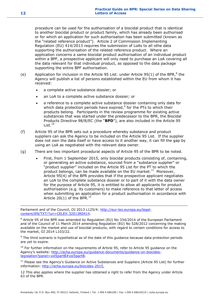procedure can be used for the authorisation of a biocidal product that is identical to another biocidal product or product family, which has already been authorised or for which an application for such authorisation has been submitted (known as the "related reference product"). Article 2 of Commission Implementing Regulation (EU) 414/2013 requires the submission of LoAs to all othe data supporting the authorisation of the related reference product. Where an application concerns a same biocidal product authorisation of an individual product within a BPF, a prospective applicant will only need to purchase an LoA covering all the data relevant for that individual product, as opposed to the data package supporting the entire BPF authorisation.

- (e) Application for inclusion in the Article 95 List: under Article 95(1) of the BPR,<sup>8</sup> the Agency will publish a list of persons established within the EU from whom it has received:
	- a complete active substance dossier; or
	- an LoA to a complete active substance dossier; or
	- a reference to a complete active substance dossier containing only data for which data protection periods have expired, $9$  for the PTs to which their products belong. Participants in the review programme for existing active substances that was started under the predecessor to the BPR, the Biocidal Products Directive 98/8/EC (the "**BPD**"), are also included in the Article 95  $List.<sup>10</sup>$
- (f) Article 95 of the BPR sets out a procedure whereby substance and product suppliers can ask the Agency to be included on the Article 95 List. If the supplier does not own the data itself or have access to it another way, it can fill the gap by using an LoA as negotiated with the relevant data owner.
- (g) There are two important procedural aspects of Article 95 of the BPR to be noted.
	- First, from 1 September 2015, only biocidal products consisting of, containing, or generating an active substance, sourced from a "substance supplier" or "product supplier" included on the Article 95 List for the PT to which the product belongs, can be made available on the EU market.<sup>11</sup> Moreover, Article 95(4) of the BPR provides that if the prospective applicant negotiates an LoA to the complete substance dossier or to part of it with the data owner for the purpose of Article 95, it is entitled to allow all applicants for product authorisation (e.g. its customers) to make reference to that letter of access when submitting an application for a product authorisation in accordance with Article 20(1) of the BPR. $^{12}$

Parliament and of the Council, OJ 2013 L125/4: [http://eur-lex.europa.eu/legal](http://eur-lex.europa.eu/legal-content/EN/TXT/?uri=CELEX:32013R0414)[content/EN/TXT/?uri=CELEX:32013R0414.](http://eur-lex.europa.eu/legal-content/EN/TXT/?uri=CELEX:32013R0414)

 $8$  Article 95 of the BPR was amended by Regulation (EU) No 334/2014 of the European Parliament and of the Council of 11 March 2014 amending Regulation (EU) No 528/2012 concerning the making available on the market and use of biocidal products, with regard to certain conditions for access to the market, OJ 2014 L103/22.

 $9$  The third scenario is hypothetical as of the date of this quidance because data protection periods are yet to expire.

 $10$  For further information on the requirements of Article 95, refer to Article 95 guidance on the Agency's website: [http://echa.europa.eu/guidance-documents/guidance-on-biocides](http://echa.europa.eu/guidance-documents/guidance-on-biocides-legislation?panel=vol5partB#vol5partB)[legislation?panel=vol5partB#vol5partB.](http://echa.europa.eu/guidance-documents/guidance-on-biocides-legislation?panel=vol5partB#vol5partB)

 $11$  Please see the Agency's Guidance on Active Substances and Suppliers (Article 95 List) for further information: [http://echa.europa.eu/biocides-2015.](http://echa.europa.eu/biocides-2015)

12 This also applies where the supplier has obtained a right to refer from the Agency under Article 63 of the BPR.

-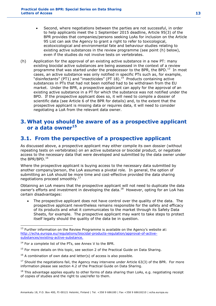- Second, where negotiations between the parties are not successful, in order to help applicants meet the 1 September 2015 deadline, Article 95(3) of the BPR provides that companies/persons seeking LoAs for inclusion on the Article 95 List can ask the Agency to grant a right to refer to toxicological, ecotoxicological and environmental fate and behaviour studies relating to existing active substances in the review programme (see point (h) below), even if the studies do not involve tests on vertebrates.
- (h) Application for the approval of an existing active substance in a new PT: many existing biocidal active substances are being assessed in the context of a review programme that was started under the predecessor to the BPR, the BPD.<sup>13</sup> In most cases, an active substance was only notified in specific PTs such as, for example, "disinfectants" (PT1) and "insecticides" (PT  $18$ ).<sup>14</sup> Products containing active substances in PTs that had not been notified had to be withdrawn from the EU market. Under the BPR, a prospective applicant can apply for the approval of an existing active substance in a PT for which the substance was not notified under the BPD. If the prospective applicant does so, it will need to compile a dossier of scientific data (see Article 6 of the BPR for details) and, to the extent that the prospective applicant is missing data or requires data, it will need to consider negotiating a LoA from the relevant data owner.

# <span id="page-12-0"></span>**3. What you should be aware of as a prospective applicant or a data owner<sup>15</sup>**

# <span id="page-12-1"></span>**3.1. From the perspective of a prospective applicant**

As discussed above, a prospective applicant may either compile its own dossier (without repeating tests on vertebrates) on an active substance or biocidal product, or negotiate access to the necessary data that were developed and submitted by the data owner under the BPR/BPD.<sup>16</sup>

Where the prospective applicant is buying access to the necessary data submitted by another company/person, the LoA assumes a pivotal role. In general, the option of submitting an LoA should be more time and cost-effective provided the data sharing negotiations proceed smoothly.<sup>17</sup>

Obtaining an LoA means that the prospective applicant will not need to duplicate the data owner's efforts and investment in developing the data. $^{18}$  However, opting for an LoA has certain disadvantages:

 The prospective applicant does not have control over the quality of the data. The prospective applicant nevertheless remains responsible for the safety and efficacy of its products and what it communicates to the market through its Safety Data Sheets, for example. The prospective applicant may want to take steps to protect itself legally should the quality of the data be in question.

<sup>-</sup> $13$  Further information on the Review Programme is available on the Agency's website at: [http://echa.europa.eu/regulations/biocidal-products-regulation/approval-of-active](http://echa.europa.eu/regulations/biocidal-products-regulation/approval-of-active-substances/existing-active-substance)[substances/existing-active-substance.](http://echa.europa.eu/regulations/biocidal-products-regulation/approval-of-active-substances/existing-active-substance)

<sup>&</sup>lt;sup>14</sup> For a complete list of the PTs, see Annex V to the BPR.

 $15$  For more details on this topic, see section 2 of the Practical Guide on Data Sharing.

 $16$  A combination of own data and letter(s) of access is also possible.

 $17$  Should the negotiations fail, the Agency may intervene under Article 63(3) of the BPR. For more information please see section 4.2 of the Practical Guide on Data Sharing.

 $18$  This advantage applies equally to other forms of data sharing than LoAs, e.g. negotiating receipt of copies of studies and the right to use/refer to them.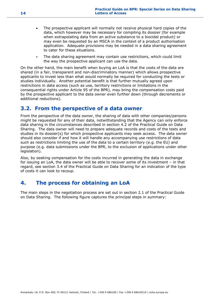- The prospective applicant will normally not receive physical hard copies of the data, which however may be necessary for compiling its dossier (for example when extrapolating data from an active substance to a biocidal product) or may even be requested by an MSCA in the context of a product authorisation application. Adequate provisions may be needed in a data sharing agreement to cater for these situations.
- The data sharing agreement may contain use restrictions, which could limit the way the prospective applicant can use the data.

On the other hand, the main benefit when buying an LoA is that the costs of the data are shared (in a fair, transparent and non-discriminatory manner) which allows prospective applicants to invest less than what would normally be required for conducting the tests or studies individually. Another potential benefit is that further mutually agreed upon restrictions in data access (such as use, territory restrictions or limitations in the consequential rights under Article 95 of the BPR), may bring the compensation costs paid by the prospective applicant to the data owner even further down (through decrements or additional reductions).

# <span id="page-13-0"></span>**3.2. From the perspective of a data owner**

From the perspective of the data owner, the sharing of data with other companies/persons might be requested for any of their data, notwithstanding that the Agency can only enforce data sharing in the circumstances described in section 4.2 of the Practical Guide on Data Sharing. The data owner will need to prepare adequate records and costs of the tests and studies in its dossier(s) for which prospective applicants may seek access. The data owner should also consider if and how it will handle any accompanying use restrictions of data such as restrictions limiting the use of the data to a certain territory (e.g. the EU) and purpose (e.g. data submissions under the BPR, to the exclusion of applications under other legislation).

Also, by seeking compensation for the costs incurred in generating the data in exchange for issuing an LoA, the data owner will be able to recover some of its investment – in that regard, see section 3.4 of the Practical Guide on Data Sharing for an indication of the type of costs it can look to recoup.

# <span id="page-13-1"></span>**4. The process for obtaining an LoA**

The main steps in the negotiation process are set out in section 2.1 of the Practical Guide on Data Sharing. The following figure captures the principal steps in summary: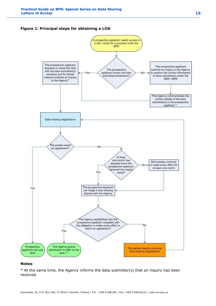### <span id="page-14-0"></span>**Figure 1: Principal steps for obtaining a LOA**



### **Notes**:

 $*$  At the same time, the Agency informs the data submitter(s) that an inquiry has been received.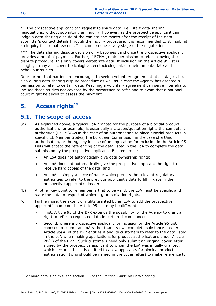\*\* The prospective applicant can request to share data, i.e., start data sharing negotiations, without submitting an inquiry. However, as the prospective applicant can lodge a data sharing dispute at the earliest one month after the receipt of the data submitter's contact details through the inquiry procedure, it is recommended to still submit an inquiry for formal reasons. This can be done at any stage of the negotiations.

\*\*\* The data sharing dispute decision only becomes valid once the prospective applicant provides a proof of payment. Further, if ECHA grants permission to refer following the dispute procedure, this only covers vertebrate data. If inclusion on the Article 95 list is sought, it may also cover toxicological, ecotoxicological, or environmental fate and behaviour studies.

Note further that parties are encouraged to seek a voluntary agreement at all stages, i.e. also during data sharing dispute procedure as well as in case the Agency has granted a permission to refer to certain data. Reaching a voluntary agreement can serve inter alia to include those studies not covered by the permission to refer and to avoid that a national court might be asked to assess the payment.

# <span id="page-15-0"></span>**5. Access rights<sup>19</sup>**

# <span id="page-15-1"></span>**5.1. The scope of access**

- (a) As explained above, a typical LoA granted for the purpose of a biocidal product authorisation, for example, is essentially a citation/quotation right: the competent authorities (i.e. MSCAs in the case of an authorisation to place biocidal products in specific EU Member States, the European Commission in the case of a Union authorisation, or the Agency in case of an application for inclusion in the Article 95 List) will accept the referencing of the data listed in the LoA to complete the data submission by the prospective applicant. But remember:
	- An LoA does not automatically give data ownership rights;
	- An LoA does not automatically give the prospective applicant the right to receive hard copies of the data; and
	- An LoA is simply a piece of paper which permits the relevant regulatory authorities to refer to the previous applicant's data to fill in gaps in the prospective applicant's dossier.
- (b) Another key point to remember is that to be valid, the LoA must be specific and state the data in respect of which it grants citation rights.
- (c) Furthermore, the extent of rights granted by an LoA to add the prospective applicant's name on the Article 95 List may be different:
	- First, Article 95 of the BPR extends the possibility for the Agency to grant a right to refer to requested data in certain circumstances
	- Second, where a prospective applicant for inclusion on the Article 95 List chooses to submit an LoA rather than its own complete substance dossier, Article 95(4) of the BPR entitles it and its customers to refer to the data listed in the LoA when making applications for product authorisations under Article 20(1) of the BPR. Such customers need only submit an original cover letter signed by the prospective applicant to whom the LoA was initially granted, which declares that it is entitled to allow applicants for biocidal product authorisation (who should be named in the cover letter) to make reference to

-

 $19$  For more details on this, see section 3.5 of the Practical Guide on Data Sharing.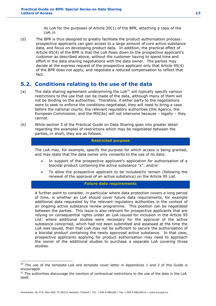its LoA for the purposes of Article 20(1) of the BPR, attaching a copy of the LoA.20

(d) The BPR is thus designed to greatly facilitate the product authorisation process: prospective applicants can gain access to a large amount of core active substance data, and focus on developing product data. In addition, the practical effect of Article 95(4) of the BPR is that the LoA flows down to the prospective applicant's customer as described above, without the customer having to spend time and effort in the data sharing negotiations with the data owner. The parties may decide at the express request of the prospective applicant only that Article 95(4) of the BPR does not apply, and negotiate a reduced compensation to reflect that fact.

# <span id="page-16-0"></span>**5.2. Conditions relating to the use of the data**

- (a) The data sharing agreement underpinning the  $L_0A^{21}$  will typically specify various restrictions to the use that can be made of the data, although many of them will not be binding on the authorities. Therefore, if either party to the negotiations were to seek to enforce the conditions negotiated, they will need to bring a case before the national courts; the relevant regulatory authorities (the Agency, the European Commission, and the MSCAs) will not intervene because – legally – they cannot.
- (b) While section 3 of the Practical Guide on Data Sharing goes into greater detail regarding the examples of restrictions which may be negotiated between the parties, in short, they are as follows.

# **Restricted purpose**

The LoA may, for example, specify the purpose for which access is being granted, and may state that the data owner only consents to the use of its data:

- In support of the prospective applicant's application for authorisation of a biocidal product containing the active substance "x"; and/or
- To allow the prospective applicant to be included/to remain (following the renewal of the approval of an active substance) on the Article 95 List.

### **Future data requirements**

A further point to consider, in particular where data protection covers a long period of time, is whether an LoA should cover future data requirements, for example additional data requested by the relevant regulatory authorities in the context of an ongoing active substance review programme. This position can be negotiated between the parties. This issue is also relevant for prospective applicants that are relying on consequential rights under an LoA issued for inclusion in the Article 95 List: where additional studies were necessary for the approval of the active substance concerned, which had not been submitted and assessed at the time the LoA was issued, then that LoA may not be sufficient to secure the authorisation of a biocidal product containing the newly approved active substance. In that case, prospective applicants applying for product authorisation may need to approach the owner of the additional studies to purchase a separate LoA covering those studies.

-

 $20$  The use of the template LoA and template cover letter in Appendices 1 and 3 of this Guide is encouraged.

<sup>&</sup>lt;sup>21</sup> The authorities discourage the mention of contractual restrictions to the use of the data in the LoA itself.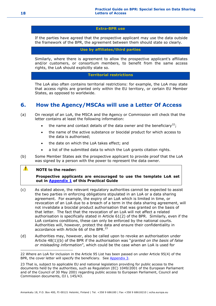#### **Extra-BPR use**

If the parties have agreed that the prospective applicant may use the data outside the framework of the BPR, the agreement between them should state so clearly.

**Use by affiliates/third parties**

Similarly, where there is agreement to allow the prospective applicant's affiliates and/or customers, or consortium members, to benefit from the same access rights, the LoA should explicitly state so.

### **Territorial restrictions**

The LoA also often contains territorial restrictions: for example, the LoA may state that access rights are granted only within the EU territory, or certain EU Member States, as opposed to worldwide.

# <span id="page-17-0"></span>**6. How the Agency/MSCAs will use a Letter Of Access**

- (a) On receipt of an LoA, the MSCA and the Agency or Commission will check that the letter contains at least the following information:
	- the name and contact details of the data owner and the beneficiary<sup>22</sup>;
	- the name of the active substance or biocidal product for which access to the data is authorised;
	- the date on which the LoA takes effect; and
	- a list of the submitted data to which the LoA grants citation rights.
- (b) Some Member States ask the prospective applicant to provide proof that the LoA was signed by a person with the power to represent the data owner.

#### $\mathbf{A}$ **NOTE to the reader:**

-

**Prospective applicants are encouraged to use the template LoA set out in [Appendix 1](https://activity.echa.europa.eu/sites/act-5/process-5-3/docs/01_Biocides/Practical%20Guides/ECHA%20documents/ECHA_PG_Letters_of_Access_v2.docx#_Hlk415227808) of this Practical Guide**

- (c) As stated above, the relevant regulatory authorities cannot be expected to assist the two parties in enforcing obligations stipulated in an LoA or a data sharing agreement. For example, the expiry of an LoA which is limited in time, or revocation of an LoA due to a breach of a term in the data sharing agreement, will not invalidate a biocidal product authorisation that was granted on the basis of that letter. The fact that the revocation of an LoA will not affect a related authorisation is specifically stated in Article 61(2) of the BPR. Similarly, even if the LoA contains conditions, these can only be enforced by the national courts. Authorities will, however, protect the data and ensure their confidentiality in accordance with Article 66 of the BPR. $^{23}$
- (d) Authorities may, however, also be called upon to revoke an authorisation under Article 48(1)(b) of the BPR if the authorisation was "*granted on the basis of false or misleading information*", which could be the case when an LoA is used for

<sup>22</sup> Where an LoA for inclusion in the Article 95 List has been passed on under Article 95(4) of the BPR, the cover letter will specify the beneficiary. See [Appendix 3.](https://activity.echa.europa.eu/sites/act-5/process-5-3/docs/01_Biocides/Practical%20Guides/ECHA%20documents/ECHA_PG_Letters_of_Access_v2.docx#_Hlk415229186)

<sup>23</sup> That is, subject to applicable EU and national legislation providing for public access to the documents held by the authorities, such as Regulation (EC) 1049/2001 of the European Parliament and of the Council of 30 May 2001 regarding public access to European Parliament, Council and Commission documents, OJ L 145/43.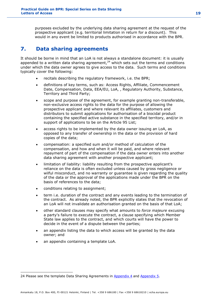purposes excluded by the underlying data sharing agreement at the request of the prospective applicant (e.g. territorial limitation in return for a discount). This would in any event be limited to products authorised in accordance with the BPR.

# <span id="page-18-0"></span>**7. Data sharing agreements**

It should be borne in mind that an LoA is not always a standalone document: it is usually appended to a written data sharing agreement,<sup>24</sup> which sets out the terms and conditions under which the data owner agrees to give access to the data. Such terms and conditions typically cover the following:

- recitals describing the regulatory framework, i.e. the BPR;
- definitions of key terms, such as: Access Rights, Affiliate, Commencement Date, Compensation, Data, EEA/EU, LoA, , Regulatory Authority, Substance, Territory and Third Party;
- scope and purpose of the agreement, for example granting non-transferable, non-exclusive access rights to the data for the purpose of allowing the prospective applicant and where relevant its affiliates, customers and distributors to submit applications for authorisation of a biocidal product containing the specified active substance in the specified territory, and/or in support of applications to be on the Article 95 List;
- access rights to be implemented by the data owner issuing an LoA, as opposed to any transfer of ownership in the data or the provision of hard copies of the data;
- compensation: a specified sum and/or method of calculation of the compensation, and how and when it will be paid, and where relevant repayment of part of the compensation if the data owner enters into another data sharing agreement with another prospective applicant;
- limitation of liability: liability resulting from the prospective applicant's reliance on the data is often excluded unless caused by gross negligence or wilful misconduct, and no warranty or guarantee is given regarding the quality of the data or the approval of the applications made under the BPR on the basis of references to the data;
- conditions relating to assignment;
- term i.e. duration of the contract and any events leading to the termination of the contract. As already noted, the BPR explicitly states that the revocation of an LoA will not invalidate an authorisation granted on the basis of that LoA;
- other standard clauses may specify what amounts to *force majeure* excusing a party's failure to execute the contract, a clause specifying which Member State law applies to the contract, and which courts will have the power to decide in the event of a dispute between the parties;
- an appendix listing the data to which access will be granted by the data owner; and
- an appendix containing a template LoA.

-

<sup>24</sup> Please see the template Data Sharing Agreements in [Appendix 4](https://activity.echa.europa.eu/sites/act-5/process-5-3/docs/01_Biocides/Practical%20Guides/ECHA%20documents/ECHA_PG_Letters_of_Access_v2.docx#_Hlk415227944) and [Appendix 5.](https://activity.echa.europa.eu/sites/act-5/process-5-3/docs/01_Biocides/Practical%20Guides/ECHA%20documents/ECHA_PG_Letters_of_Access_v2.docx#_Hlk415229659)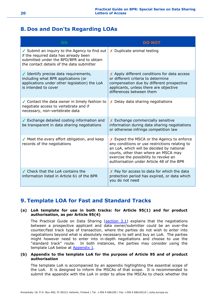# <span id="page-19-0"></span>**8. Dos and Don'ts Regarding LOAs**

| <b>DO</b>                                                                                                                                                                        | <b>DO NOT</b>                                                                                                                                                                                                                                                           |
|----------------------------------------------------------------------------------------------------------------------------------------------------------------------------------|-------------------------------------------------------------------------------------------------------------------------------------------------------------------------------------------------------------------------------------------------------------------------|
| ✔ Submit an inquiry to the Agency to find out<br>if the required data has already been<br>submitted under the BPD/BPR and to obtain<br>the contact details of the data submitter | X Duplicate animal testing                                                                                                                                                                                                                                              |
| ✔ Identify precise data requirements,<br>including what BPR applications (or<br>applications under other legislation) the LoA<br>is intended to cover                            | X Apply different conditions for data access<br>or different criteria to determine<br>compensation due by different prospective<br>applicants, unless there are objective<br>differences between them                                                                   |
| ✔ Contact the data owner in timely fashion to<br>negotiate access to vertebrate and if<br>necessary, non-vertebrate data                                                         | $x$ Delay data sharing negotiations                                                                                                                                                                                                                                     |
| ✔ Exchange detailed costing information and<br>be transparent in data sharing negotiations                                                                                       | $x$ Exchange commercially sensitive<br>information during data sharing negotiations<br>or otherwise infringe competition law                                                                                                                                            |
| ✔ Meet the every effort obligation, and keep<br>records of the negotiations                                                                                                      | X Expect the MSCA or the Agency to enforce<br>any conditions or use restrictions relating to<br>an LoA, which will be decided by national<br>courts, other than where an MSCA may<br>exercise the possibility to revoke an<br>authorisation under Article 48 of the BPR |
| ✔ Check that the LoA contains the<br>information listed in Article 61 of the BPR                                                                                                 | X Pay for access to data for which the data<br>protection period has expired, or data which<br>you do not need                                                                                                                                                          |

# <span id="page-19-1"></span>**9. Template LOA for Fast and Standard Tracks**

### **(a) LoA template for use in both tracks: for Article 95(1) and for product authorisation, as per Article 95(4)**

The Practical Guide on Data Sharing [\(section 3.1\)](https://activity.echa.europa.eu/sites/act-5/process-5-3/docs/01_Biocides/Practical%20Guides/ECHA%20documents/ECHA_PG_Letters_of_Access_v2.docx#_Hlk415228638) explains that the negotiations between a prospective applicant and data owner/submitter could be an over-the counter/fast track type of transaction, where the parties do not wish to enter into negotiations beyond what is absolutely necessary to sell and buy an LoA. The parties might however need to enter into in-depth negotiations and choose to use the "standard track" route. In both instances, the parties may consider using the template LoA below at **Appendix 1**.

### **(b) Appendix to the template LoA for the purpose of Article 95 and of product authorisation**

The template LoA is accompanied by an appendix highlighting the essential scope of the LoA. It is designed to inform the MSCAs of that scope. It is recommended to submit the appendix with the LoA in order to allow the MSCAs to check whether the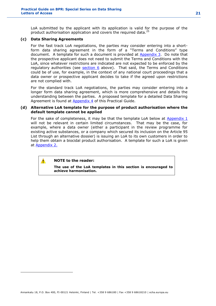LoA submitted by the applicant with its application is valid for the purpose of the product authorisation application and covers the required data.<sup>25</sup>

### **(c) Data Sharing Agreements**

For the fast track LoA negotiations, the parties may consider entering into a shortform data sharing agreement in the form of a "Terms and Conditions" type document. A template for such a document is provided at [Appendix 3.](https://activity.echa.europa.eu/sites/act-5/process-5-3/docs/01_Biocides/Practical%20Guides/ECHA%20documents/ECHA_PG_Letters_of_Access_v2.docx#_Hlk415229186) Do note that the prospective applicant does not need to submit the Terms and Conditions with the LoA, since whatever restrictions are indicated are not expected to be enforced by the regulatory authorities (see **section 6** above). That said, the Terms and Conditions could be of use, for example, in the context of any national court proceedings that a data owner or prospective applicant decides to take if the agreed upon restrictions are not complied with.

For the standard track LoA negotiations, the parties may consider entering into a longer form data sharing agreement, which is more comprehensive and details the understanding between the parties. A proposed template for a detailed Data Sharing Agreement is found at **Appendix 4** of this Practical Guide.

#### **(d) Alternative LoA template for the purpose of product authorisation where the default template cannot be applied**

For the sake of completeness, it may be that the template LoA below at  $\Delta p$  Appendix  $1$ will not be relevant in certain limited circumstances. That may be the case, for example, where a data owner (either a participant in the review programme for existing active substances, or a company which secured its inclusion on the Article 95 List through an alternative dossier) is issuing an LoA to its own customers in order to help them obtain a biocidal product authorisation. A template for such a LoA is given at **Appendix 2.** 

### **NOTE to the reader:**

 $\blacktriangle$ 

-

**The use of the LoA templates in this section is encouraged to achieve harmonisation.**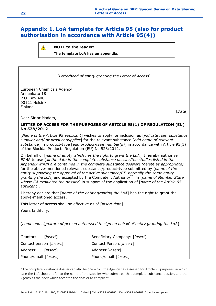# <span id="page-21-0"></span>**Appendix 1. LoA template for Article 95 (also for product authorisation in accordance with Article 95(4))**



[*Letterhead of entity granting the Letter of Access*]

European Chemicals Agency Annankatu 18 P.O. Box 400 00121 Helsinki Finland

[*Date*]

Dear Sir or Madam,

# **LETTER OF ACCESS FOR THE PURPOSES OF ARTICLE 95(1) OF REGULATION (EU) No 528/2012**

[*Name of the Article 95 applicant*] wishes to apply for inclusion as [*indicate role: substance supplier and/ or product supplier*] for the relevant substance [*add name of relevant substance*] in product-type [*add product-type number(s)*] in accordance with Article 95(1) of the Biocidal Products Regulation (EU) No 528/2012.

On behalf of [*name of entity which has the right to grant the LoA*], I hereby authorise ECHA to use [*all the data in the complete substance dossier/the studies listed in the Appendix which are contained in the complete substance dossier*] *(delete as appropriate)* for the above-mentioned relevant substance/product-type submitted by [*name of the entity supporting the approval of the active substance/PT*, *normally the same entity*  granting the LoA] and accepted by the Competent Authority<sup>26</sup> in [name of Member State *whose CA evaluated the dossier*] in support of the application of [*name of the Article 95 applicant*].

I hereby declare that [*name of the entity granting the LoA*] has the right to grant the above-mentioned access.

This letter of access shall be effective as of [*insert date*].

Yours faithfully,

-

[*name and signature of person authorised to sign on behalf of entity granting the LoA*]

| Grantor:                          | <i>Linsert</i> 1 | Beneficiary Company: [insert] |
|-----------------------------------|------------------|-------------------------------|
| Contact person: [ <i>insert</i> ] |                  | Contact Person: [insert]      |
| Address:                          | <i>Linsert</i> 1 | Address:[ <i>insert</i> ]     |
| Phone/email: [insert]             |                  | Phone/email: [insert]         |

<sup>&</sup>lt;sup>26</sup> The complete substance dossier can also be one which the Agency has assessed for Article 95 purposes, in which case the LoA should refer to the name of the supplier who submitted that complete substance dossier, and the Agency as the body which accepted the dossier as compliant.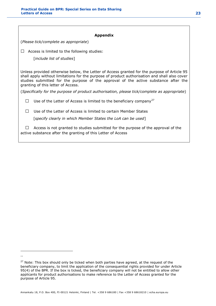#### **Appendix**

(*Please tick/complete as appropriate*)

 $\Box$  Access is limited to the following studies:

[*include list of studies*]

Unless provided otherwise below, the Letter of Access granted for the purpose of Article 95 shall apply without limitations for the purpose of product authorisation and shall also cover studies submitted for the purpose of the approval of the active substance after the granting of this letter of Access.

(*Specifically for the purpose of product authorisation, please tick/complete as appropriate*)

□ Use of the Letter of Access is limited to the beneficiary company<sup>27</sup>

 $\square$  Use of the Letter of Access is limited to certain Member States

[*specify clearly in which Member States the LoA can be used*]

 $\Box$  Access is not granted to studies submitted for the purpose of the approval of the active substance after the granting of this Letter of Access

-\*\*

Annankatu 18, P.O. Box 400, FI-00121 Helsinki, Finland | Tel. +358 9 686180 | Fax +358 9 68618210 | echa.europa.eu

<sup>&</sup>lt;sup>27</sup> Note: This box should only be ticked when both parties have agreed, at the request of the beneficiary company, to limit the application of the consequential rights provided for under Article 95(4) of the BPR. If the box is ticked, the beneficiary company will not be entitled to allow other applicants for product authorisations to make reference to the Letter of Access granted for the purpose of Article 95.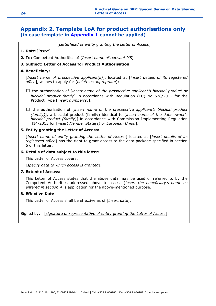# <span id="page-23-0"></span>**Appendix 2. Template LoA for product authorisations only (in case template in [Appendix 1](https://activity.echa.europa.eu/sites/act-5/process-5-3/docs/01_Biocides/Practical%20Guides/ECHA%20documents/ECHA_PG_Letters_of_Access_v2.docx#_Hlk415227808) cannot be applied)**

[*Letterhead of entity granting the Letter of Access*]

- **1. Date:**[*Insert*]
- **2. To:** Competent Authorities of [*Insert name of relevant MS*]

### **3. Subject: Letter of Access for Product Authorisation**

#### **4. Beneficiary:**

[*Insert name of prospective applicant(s)*], located at [*insert details of its registered office*], wishes to apply for (*delete as appropriate*):

- $\square$  the authorisation of [*insert name of the prospective applicant's biocidal product or biocidal product family*] in accordance with Regulation (EU) No 528/2012 for the Product Type [*insert number(s)*].
- □ the authorisation of [*insert name of the prospective applicant's biocidal product (family)*], a biocidal product (family) identical to [*insert name of the data owner's biocidal product (family)*] in accordance with Commission Implementing Regulation 414/2013 for [*insert Member State(s) or European Union*].

#### **5. Entity granting the Letter of Access:**

[*Insert name of entity granting the Letter of Access*] located at [*insert details of its registered office*] has the right to grant access to the data package specified in section 6 of this letter.

#### **6. Details of data subject to this letter:**

This Letter of Access covers:

[*specify data to which access is granted*].

#### **7. Extent of Access:**

This Letter of Access states that the above data may be used or referred to by the Competent Authorities addressed above to assess [*insert the beneficiary's name as entered in section 4*]'s application for the above-mentioned purpose.

#### **8. Effective Date**

This Letter of Access shall be effective as of [*insert date*].

Signed by: [*signature of representative of entity granting the Letter of Access*]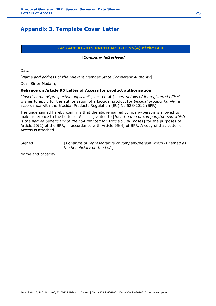# <span id="page-24-0"></span>**Appendix 3. Template Cover Letter**

# **CASCADE RIGHTS UNDER ARTICLE 95(4) of the BPR**

### **[***Company letterhead***]**

Date \_\_\_\_\_\_\_\_\_\_\_\_\_

[*Name and address of the relevant Member State Competent Authority*]

Dear Sir or Madam,

### **Reliance on Article 95 Letter of Access for product authorisation**

[*Insert name of prospective applicant*], located at [*insert details of its registered office*], wishes to apply for the authorisation of a biocidal product [*or biocidal product family*] in accordance with the Biocidal Products Regulation (EU) No 528/2012 (BPR).

The undersigned hereby confirms that the above named company/person is allowed to make reference to the Letter of Access granted to [*Insert name of company/person which is the named beneficiary of the LoA granted for Article 95 purposes*] for the purposes of Article 20(1) of the BPR, in accordance with Article 95(4) of BPR. A copy of that Letter of Access is attached.

Signed: [*signature of representative of company/person which is named as the beneficiary on the LoA*]

Name and capacity: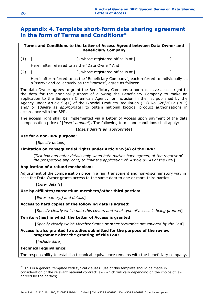# <span id="page-25-0"></span>**Appendix 4. Template short-form data sharing agreement in the form of Terms and Conditions**<sup>28</sup>

# **Terms and Conditions to the Letter of Access Agreed between Data Owner and Beneficiary Company**

 $(1)$  [  $\qquad \qquad$  ], whose registered office is at [  $\qquad \qquad$  ]

Hereinafter referred to as the "Data Owner" And

 $(2)$  [  $\qquad \qquad$  ], whose registered office is at [  $\qquad \qquad$  ]

Hereinafter referred to as the "Beneficiary Company", each referred to individually as a "Party" and collectively as the "Parties", agree as follows:

The data Owner agrees to grant the Beneficiary Company a non-exclusive access right to the data for the principal purpose of allowing the Beneficiary Company to make an application to the European Chemicals Agency for inclusion in the list published by the Agency under Article 95(1) of the Biocidal Products Regulation (EU) No 528/2012 (BPR) and/ or [*delete as appropriate*] to obtain national biocidal product authorisations in accordance with the BPR.

The access right shall be implemented via a Letter of Access upon payment of the data compensation price of [*insert amount*]. The following terms and conditions shall apply:

[*Insert details as appropriate*]

# **Use for a non-BPR purpose**:

[*Specify details*]

# **Limitation on consequential rights under Article 95(4) of the BPR:**

[*Tick box and enter details only when both parties have agreed, at the request of the prospective applicant, to limit the application of Article 95(4) of the BPR*]

### **Application of a refund mechanism:**

Adjustment of the compensation price in a fair, transparent and non-discriminatory way in case the Data Owner grants access to the same data to one or more third parties:

[*Enter details*]

### **Use by affiliates/consortium members/other third parties:**

[*Enter name(s) and details*]

### **Access to hard copies of the following data is agreed:**

[*Specify clearly which data this covers and what type of access is being granted*]

### **Territory(ies) in which the Letter of Access is granted**:

[*Specify clearly which Member States or other territories are covered by the LoA*]

#### **Access is also granted to studies submitted for the purpose of the review programme after the granting of this LoA:**

[*include date*]

### **Technical equivalence:**

-

The responsibility to establish technical equivalence remains with the beneficiary company.

 $28$  This is a general template with typical clauses. Use of this template should be made in consideration of the relevant national contract law (which will vary depending on the choice of law agreed by the parties).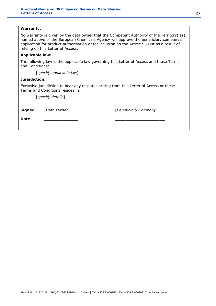### **Warranty**:

No warranty is given by the data owner that the Competent Authority of the Territory(ies) named above or the European Chemicals Agency will approve the beneficiary company's application for product authorisation or for inclusion on the Article 95 List as a result of relying on this Letter of Access.

### **Applicable law:**

The following law is the applicable law governing this Letter of Access and these Terms and Conditions:

[*specify applicable law*]

### **Jurisdiction:**

Exclusive jurisdiction to hear any disputes arising from this Letter of Access or these Terms and Conditions resides in:

[*specify details*]

| <b>Signed</b> | [Data Owner] | [Beneficiary Company] |
|---------------|--------------|-----------------------|
| Date          |              |                       |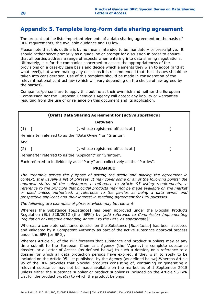# <span id="page-27-0"></span>**Appendix 5. Template long-form data sharing agreement**

The present outline lists important elements of a data sharing agreement on the basis of BPR requirements, the available guidance and EU law.

Please note that this outline is by no means intended to be mandatory or prescriptive. It should rather serve primarily as a guideline or prompt for discussion in order to ensure that all parties address a range of aspects when entering into data sharing negotiations. Ultimately, it is for the companies concerned to assess the appropriateness of the provisions on a case-by case basis and decide which elements they wish to adopt (and at what level), but when making any decisions it is recommended that these issues should be taken into consideration. Use of this template should be made in consideration of the relevant national contract law (which will vary depending on the choice of law agreed by the parties).

Companies/persons are to apply this outline at their own risk and neither the European Commission nor the European Chemicals Agency will accept any liability or warranties resulting from the use of or reliance on this document and its application.

|             |                                                           | (Draft) Data Sharing Agreement for [active substance]                         |  |
|-------------|-----------------------------------------------------------|-------------------------------------------------------------------------------|--|
|             |                                                           | <b>Between</b>                                                                |  |
| $(1)$ [     |                                                           | ], whose registered office is at $\lceil$                                     |  |
|             | Hereinafter referred to as the "Data Owner" or "Grantor". |                                                                               |  |
| And         |                                                           |                                                                               |  |
| $(2) \quad$ |                                                           | ], whose registered office is at $\lceil$                                     |  |
|             | Hereinafter referred to as the "Applicant" or "Grantee".  |                                                                               |  |
|             |                                                           | Each referred to individually as a "Party" and collectively as the "Parties". |  |
|             |                                                           |                                                                               |  |

# **PREAMBLE**

*The Preamble serves the purpose of setting the scene and placing the agreement in context. It is usually a list of phrases. It may cover some or all of the following points: the approval status of the substance; a reference to Article 95 listing requirements; a reference to the principle that biocidal products may not be made available on the market or used unless authorized; a reference to the parties as being a data owner and prospective applicant and their interest in reaching agreement for BPR purposes.*

*The following are examples of phrases which may be relevant:*

Whereas the Substance [*Substance*] has been approved under the Biocidal Products Regulation (EU) 528/2012 (the "BPR") by [*add reference to Commission Implementing Regulation or Directive amending Annex I to the BPD, as appropriate*];

Whereas a complete substance dossier on the Substance [*Substance*] has been accepted and validated by a Competent Authority as part of the active substance approval process under the BPR [or BPD];

Whereas Article 95 of the BPR foresees that substance and product suppliers may at any time submit to the European Chemicals Agency (the "Agency) a complete substance dossier, or a Letter of Access (as defined below) to such a dossier, or a reference to a dossier for which all data protection periods have expired, if they wish to apply to be included on the Article 95 List published by the Agency (as defined below);Whereas Article 95 of the BPR provides that biocidal products consisting of, containing or generating a relevant substance may not be made available on the market as of 1 September 2015 unless either the substance supplier or product supplier is included on the Article 95 BPR List for the product type(s) to which the product belongs;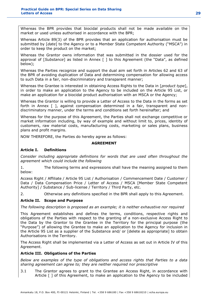Whereas the BPR provides that biocidal products shall not be made available on the market or used unless authorised in accordance with the BPR;

Whereas Article 89(3) of the BPR provides that an application for authorisation must be submitted by [*date*] to the Agency or to a Member State Competent Authority ("MSCA") in order to keep the product on the market;

Whereas the Grantor owns information that was submitted in the dossier used for the approval of [*Substance*] as listed in Annex [ ] to this Agreement (the "Data", as defined below);

Whereas the Parties recognize and support the dual aim set forth in Articles 62 and 63 of the BPR of avoiding duplication of Data and determining compensation for allowing access to such Data in a fair, non-discriminatory and transparent manner;

Whereas the Grantee is interested in obtaining Access Rights to the Data in [*product type*], in order to make an application to the Agency to be included on the Article 95 List, or make an application for a biocidal product authorisation with an MSCA or the Agency;

Whereas the Grantor is willing to provide a Letter of Access to the Data in the forms as set forth in Annex [ ], against compensation determined in a fair, transparent and nondiscriminatory manner, under the terms and conditions set forth hereinafter; and

Whereas for the purpose of this Agreement, the Parties shall not exchange competitive or market information including, by way of example and without limit to, prices, identity of customers, raw material costs, manufacturing costs, marketing or sales plans, business plans and profit margins.

NOW THEREFORE, the Parties do hereby agree as follows:

# **AGREEMENT**

# **Article I. Definitions**

*Consider including appropriate definitions for words that are used often throughout the agreement which could include the following*

1. The following terms and expressions shall have the meaning assigned to them below:

Access Right / Affiliate / Article 95 List / Authorisation / Commencement Date / Customer / Data / Data Compensation Price / Letter of Access / MSCA [Member State Competent Authority] / Substance / Sub-license / Territory / Third Party, etc.

2. Otherwise any definitions specified in the BPR shall apply to this Agreement.

# **Article II. Scope and Purpose**

*The following description is proposed as an example; it is neither exhaustive nor required*

This Agreement establishes and defines the terms, conditions, respective rights and obligations of the Parties with respect to the granting of a non-exclusive Access Right to the Data by the Grantor to the Grantee in the Territory for the principal purpose (the "Purpose") of allowing the Grantee to make an application to the Agency for inclusion in the Article 95 List as a supplier of the Substance and/ or [delete as appropriate] to obtain Authorisations in the Territory.

The Access Right shall be implemented via a Letter of Access as set out in Article IV of this Agreement.

# **Article III. Obligations of the Parties**

*Below are examples of the type of obligations and access rights that Parties to a data sharing agreement can agree to; they are neither required nor prescriptive*

3.1 The Grantor agrees to grant to the Grantee an Access Right, in accordance with Article [ ] of this Agreement, to make an application to the Agency to be included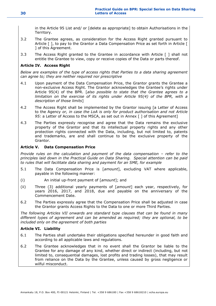in the Article 95 List and/ or [delete as appropriate] to obtain Authorisations in the Territory.

- 3.2 The Grantee agrees, as consideration for the Access Right granted pursuant to Article  $\lceil \cdot \rceil$ , to pay to the Grantor a Data Compensation Price as set forth in Article  $\lceil \cdot \rceil$ ] of this Agreement.
- 3.3 The Access Right granted to the Grantee in accordance with Article [ ] shall not entitle the Grantee to view, copy or receive copies of the Data or parts thereof.

# **Article IV. Access Right**

*Below are examples of the type of access rights that Parties to a data sharing agreement can agree to; they are neither required nor prescriptive*

- 4.1 Upon payment of the Data Compensation Price, the Grantor grants the Grantee a non-exclusive Access Right. The Grantor acknowledges the Grantee's rights under Article 95(4) of the BPR. [*also possible to state that the Grantee agrees to a limitation on the exercise of its rights under Article 95(4) of the BPR, with a description of those limits*]
- 4.2 The Access Right shall be implemented by the Grantor issuing [a Letter of Access to the Agency *or, in case the LoA is only for product authorisation and not Article*  95: a Letter of Access to the MSCA, as set out in Annex [ ] of this Agreement]
- 4.3 The Parties expressly recognise and agree that the Data remains the exclusive property of the Grantor and that its intellectual property rights and any other protection rights connected with the Data, including, but not limited to, patents and trademarks, are and shall continue to be the exclusive property of the Grantor.

# **Article V. Data Compensation Price**

*Provide rules on the calculation and payment of the data compensation – refer to the principles laid down in the Practical Guide on Data Sharing. Special attention can be paid to rules that will facilitate data sharing and payment for an SME, for example*

- 5.1 The Data Compensation Price is [*amount*], excluding VAT where applicable, payable in the following manner:
- (i) An initial up-front payment of [*amount*]; and
- (ii) Three (3) additional yearly payments of [*amount*] each year, respectively, for years 2016, 2017, and 2018, due and payable on the anniversary of the Commencement Date.
- 6.2 The Parties expressly agree that the Compensation Price shall be adjusted in case the Grantor grants Access Rights to the Data to one or more Third Parties.

*The following Articles VII onwards are standard type clauses that can be found in many different types of agreement and can be amended as required; they are optional, to be included only on the agreement of both parties*

### **Article VI. Liability**

- 6.1 The Parties shall undertake their obligations specified hereunder in good faith and according to all applicable laws and regulations.
- 6.2 The Grantee acknowledges that in no event shall the Grantor be liable to the Grantee for any damage of any kind, whether direct or indirect (including, but not limited to, consequential damages, lost profits and trading losses), that may result from reliance on the Data by the Grantee, unless caused by gross negligence or wilful misconduct.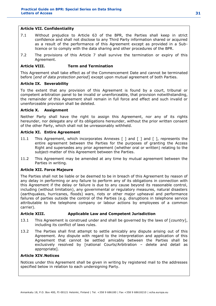### **Article VII. Confidentiality**

- 7.1 Without prejudice to Article 63 of the BPR, the Parties shall keep in strict confidence and shall not disclose to any Third Party information shared or acquired as a result of the performance of this Agreement except as provided in a Sublicence or to comply with the data sharing and other procedures of the BPR.
- 7.2 The provisions of this Article 7 shall survive the termination or expiry of this Agreement.

# **Article VIII. Term and Termination**

This Agreement shall take effect as of the Commencement Date and cannot be terminated before [*end of data protection period*] except upon mutual agreement of both Parties.

### **Article IX. Severability**

To the extent that any provision of this Agreement is found by a court, tribunal or competent arbitration panel to be invalid or unenforceable, that provision notwithstanding, the remainder of this Agreement shall remain in full force and effect and such invalid or unenforceable provision shall be deleted.

# **Article X. Assignment**

Neither Party shall have the right to assign this Agreement, nor any of its rights hereunder, nor delegate any of its obligations hereunder, without the prior written consent of the other Party, which shall not be unreasonably withheld.

### **Article XI. Entire Agreement**

- 11.1 This Agreement, which incorporates Annexes [ ] and [ ] and [ ], represents the entire agreement between the Parties for the purposes of granting the Access Right and supersedes any prior agreement (whether oral or written) relating to the subject-matter of this Agreement between the Parties.
- 11.2 This Agreement may be amended at any time by mutual agreement between the Parties in writing.

# **Article XII. Force Majeure**

The Parties shall not be liable or be deemed to be in breach of this Agreement by reason of any delay in performing or any failure to perform any of its obligations in connection with this Agreement if the delay or failure is due to any cause beyond its reasonable control, including (without limitation), any governmental or regulatory measures, natural disasters (earthquakes, hurricanes, floods) wars, riots or other major upheaval and performance failures of parties outside the control of the Parties (e.g. disruptions in telephone service attributable to the telephone company or labour actions by employees of a common carrier).

# **Article XIII. Applicable Law and Competent Jurisdiction**

- 13.1 This Agreement is construed under and shall be governed by the laws of [*country*], including its conflict of laws rules.
- 13.2 The Parties shall first attempt to settle amicably any dispute arising out of this Agreement. Any dispute with regard to the interpretation and application of this Agreement that cannot be settled amicably between the Parties shall be exclusively resolved by [national Courts/Arbitration – delete and detail as appropriate].

### **Article XIV.Notices**

Notices under this Agreement shall be given in writing by registered mail to the addresses specified below in relation to each undersigning Party.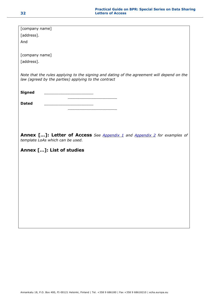| [company name]                                                                             |
|--------------------------------------------------------------------------------------------|
|                                                                                            |
| [address].                                                                                 |
|                                                                                            |
| And                                                                                        |
|                                                                                            |
| [company name]                                                                             |
|                                                                                            |
| [address].                                                                                 |
| Note that the rules applying to the signing and dating of the agreement will depend on the |
| law (agreed by the parties) applying to the contract                                       |
|                                                                                            |
|                                                                                            |
| <b>Signed</b>                                                                              |
|                                                                                            |
| <b>Dated</b>                                                                               |
|                                                                                            |
|                                                                                            |
|                                                                                            |
|                                                                                            |
|                                                                                            |
| Annex []: Letter of Access See Appendix 1 and Appendix 2 for examples of                   |
|                                                                                            |
| template LoAs which can be used.                                                           |
|                                                                                            |
|                                                                                            |
| Annex []: List of studies                                                                  |
|                                                                                            |
|                                                                                            |
|                                                                                            |
|                                                                                            |
|                                                                                            |
|                                                                                            |
|                                                                                            |
|                                                                                            |
|                                                                                            |
|                                                                                            |
|                                                                                            |
|                                                                                            |